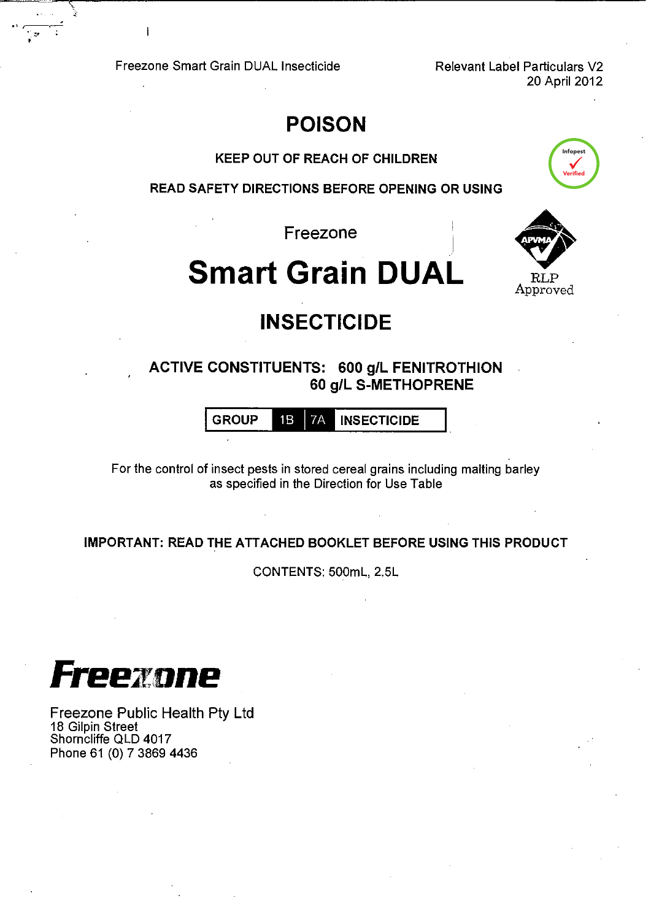Freezone Smart Grain DUAL Insecticide Relevant Label Particulars V2

 $\begin{array}{l} \begin{array}{c} \begin{array}{c} \text{\textcolor{blue}{\bf 1}} \end{array} & \text{\textcolor{blue}{\bf 2}} \end{array} & \begin{array}{c} \text{\textcolor{blue}{\bf 2}} \end{array} & \begin{array}{c} \text{\textcolor{blue}{\bf 3}} \end{array} & \begin{array}{c} \text{\textcolor{blue}{\bf 4}} \end{array} & \begin{array}{c} \text{\textcolor{blue}{\bf 4}} \end{array} & \begin{array}{c} \text{\textcolor{blue}{\bf 3}} \end{array} & \begin{array}{c} \text{\textcolor{blue}{\bf 4}} \end{array} & \begin{array}{$ 

20 April 2012

## **POISON**

KEEP OUT OF REACH OF CHILDREN

READ SAFETY DIRECTIONS BEFORE OPENING OR USING

Freezone

# **Smart Grain DUAL**



Infopest

Verified

# **INSECTICIDE**

ACTIVE CONSTITUENTS: 600 g/L FENITROTHION 60 g/L S-METHOPRENE

GROUP 1B 7A INSECTICIDE

For the control of insect pests in stored cereal grains including malting barley as specified in the Direction for Use Table

IMPORTANT: READ THE ATTACHED BOOKLET BEFORE USING THIS PRODUCT

CONTENTS: 500mL, 2.5L



Freezone Public Health Pty Ltd 18 Gilpin Street Shorncliffe QLD 4017 Phone 61 (0) 7 3869 4436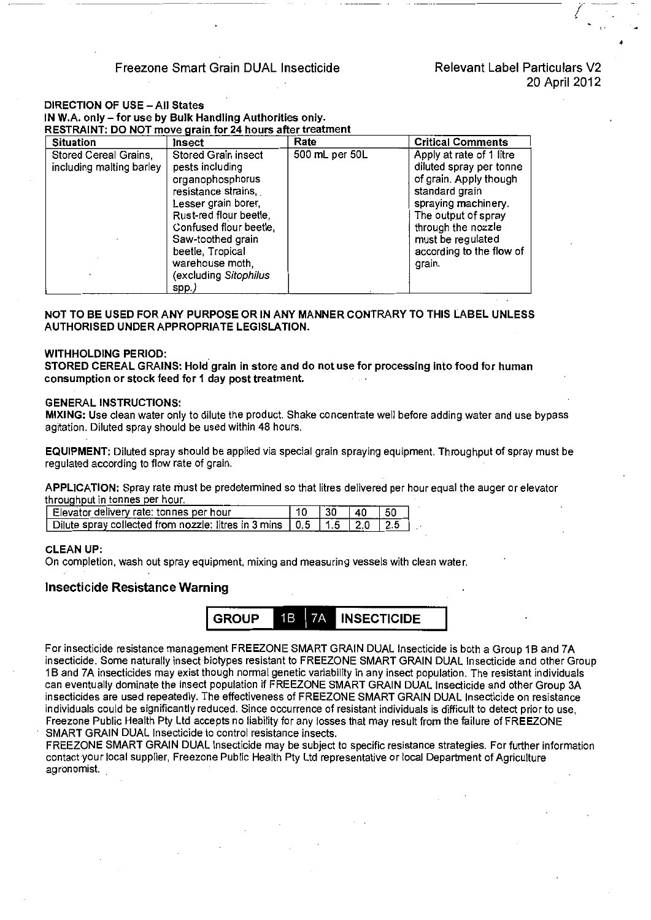#### Freezone Smart Grain DUAL Insecticide Relevant Label Particulars V2

I

'

#### DIRECTION OF USE- All States IN W.A. only- for use by Bulk Handling Authorities only.  $R$ ESTRAINT: DO NOT move grain for 24 hours after treatment

| <b>Situation</b>                                  | <b>Insect</b>                                                                                                                                                                                                                                              | Rate           | <b>Critical Comments</b>                                                                                                                                                                                                       |  |
|---------------------------------------------------|------------------------------------------------------------------------------------------------------------------------------------------------------------------------------------------------------------------------------------------------------------|----------------|--------------------------------------------------------------------------------------------------------------------------------------------------------------------------------------------------------------------------------|--|
| Stored Cereal Grains,<br>including malting barley | Stored Grain insect<br>pests including<br>organophosphorus<br>resistance strains,<br>Lesser grain borer,<br>Rust-red flour beetle,<br>Confused flour beetle,<br>Saw-toothed grain<br>beetle, Tropical<br>warehouse moth,<br>(excluding Sitophilus<br>spp.) | 500 mL per 50L | Apply at rate of 1 litre<br>diluted spray per tonne<br>of grain. Apply though<br>standard grain<br>spraying machinery.<br>The output of spray<br>through the nozzle<br>must be regulated<br>according to the flow of<br>grain. |  |

NOT TO BE USED FOR ANY PURPOSE OR IN ANY MANNER CONTRARY TO THIS LABEL UNLESS AUTHORISED UNDER APPROPRIATE LEGISLATION.

#### WITHHOLDING PERIOD:

STORED CEREAL GRAINS: Hold grain in store and do not use for processing into food for human consumption or stock feed for 1 day post treatment.

#### GENERAL INSTRUCTIONS:

MIXING: Use clean water only to dilute the product. Shake concentrate well before adding water and use bypass agitation. Diluted spray should be used within 48 hours.

EQUIPMENT: Diluted spray should be applied via special grain spraying equipment. Throughput of spray must be regulated according to flow rate of grain.

APPLICATION: Spray rate must be predetermined so that litres delivered per hour equal the auger or elevator throughput in tonnes per hour.

| Elevator delivery rate: tonnes per hour                                               |  | ∣⊿∩ |  |
|---------------------------------------------------------------------------------------|--|-----|--|
| Dilute spray collected from nozzle: litres in 3 mins $\mid$ 0.5 $\mid$ 1.5 $\mid$ 2.0 |  |     |  |

#### CLEAN UP:

On completion, wash out spray equipment, mixing and measuring vessels with clean water.

#### Insecticide Resistance Warning



For insecticide resistance management FREEZONE SMART GRAIN DUAL Insecticide is both a Group 1B and 7A insecticide. Some naturally insect biotypes resistant to FREEZONE SMART GRAIN DUAL Insecticide and other Group 1B and 7A insecticides may exist though normal genetic variability in any insect population. The resistant individuals can eventually dominate the insect population if FREEZONE SMART GRAIN DUAL Insecticide and other Group 3A insecticides are used repeatedly. The effectiveness of FREEZONE SMART GRAIN DUAL Insecticide on resistance individuals could be significantly reduced. Since occurrence of resistant individuals is difficult to detect prior to use, Freezone Public Health Pty Ltd accepts no liability for any losses that may result from the failure of FREEZONE SMART GRAIN DUAL Insecticide to control resistance insects.

FREEZONE SMART GRAIN DUAL Insecticide may be subject to specific resistance strategies. For further information contact your local supplier, Freezone Public Health Pty Ltd representative or local Department of Agriculture agronomist. .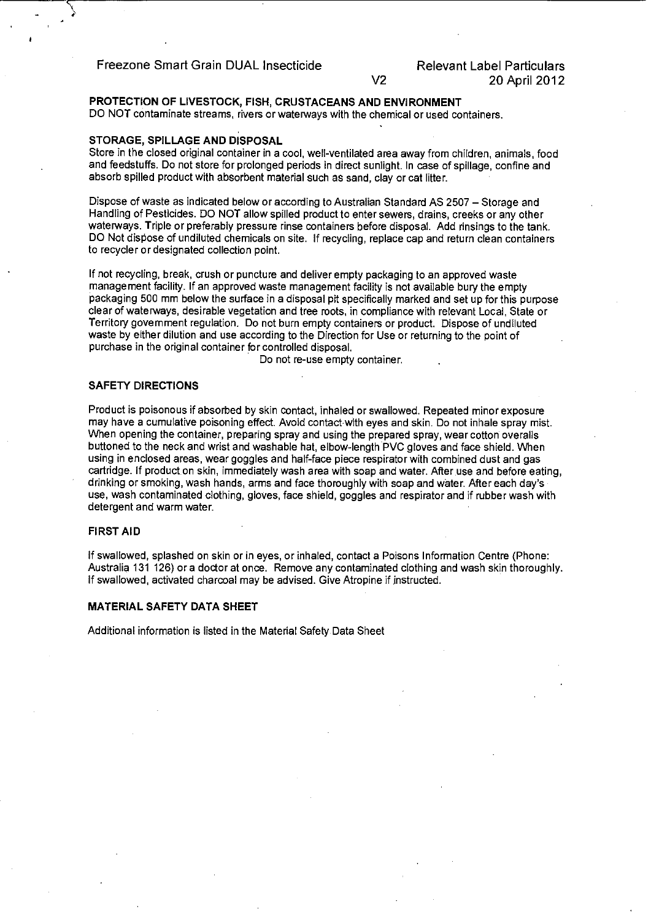Freezone Smart Grain DUAL Insecticide

### **PROTECTION OF LIVESTOCK, FISH, CRUSTACEANS AND ENVIRONMENT**

DO NOT contaminate streams, rivers or waterways with the chemical or used containers.

#### **STORAGE, SPILLAGE AND DISPOSAL**

Store in the closed original container in a cool, well-ventilated area away from children, animals, food and feedstuffs. Do not store for prolonged periods in direct sunlight. In case of spillage, confine and absorb spilled product with absorbent material such as sand, clay or cat litter.

V2

Dispose of waste as indicated below or according to Australian Standard AS 2507- Storage and Handling of Pesticides. DO NOT allow spilled product to enter sewers, drains, creeks or any other waterways. Triple or preferably pressure rinse containers before disposal. Add rinsings to the tank. DO Not dispose of undiluted chemicals on site. If recycling, replace cap and return clean containers to recycler or designated collection point.

If not recycling, break, crush or puncture and deliver empty packaging to an approved waste management facility. If an approved waste management facility is not available bury the empty packaging 500 mm below the surface in a disposal pit specifically marked and set up for this purpose clear of waterways, desirable vegetation and tree roots, in compliance with relevant Local, State or Territory government regulation. Do not burn empty containers or product. Dispose of undiluted waste by either dilution and use according to the Direction for Use or returning to the point of purchase in the original container for controlled disposal.

Do not re-use empty container.

#### **SAFETY DIRECTIONS**

Product is poisonous if absorbed by skin contact, inhaled or swallowed. Repeated minor exposure may have a cumulative poisoning effect. Avoid contact with eyes and skin. Do not inhale spray mist. When opening the container, preparing spray and using the prepared spray, wear cotton overalls buttoned to the neck and wrist and washable hat, elbow-length PVC gloves and face shield. When using in enclosed areas, wear goggles and half-face piece respirator with combined dust and gas cartridge. If product on skin, immediately wash area with soap and water. After use and before eating, drinking or smoking, wash hands, arms and face thoroughly with soap and water. After each day's use, wash contaminated clothing, gloves, face shield, goggles and respirator and if rubber wash with detergent and warm water.

#### **FIRST AID**

If swallowed, splashed on skin or in eyes, or inhaled, contact a Poisons Information Centre (Phone: Australia 131 126) or a doctor at once. Remove any contaminated clothing and wash skin thoroughly. If swallowed, activated charcoal may be advised. Give Atropine if instructed.

#### **MATERIAL SAFETY DATA SHEET**

Additional information is listed in the Material Safety Data Sheet